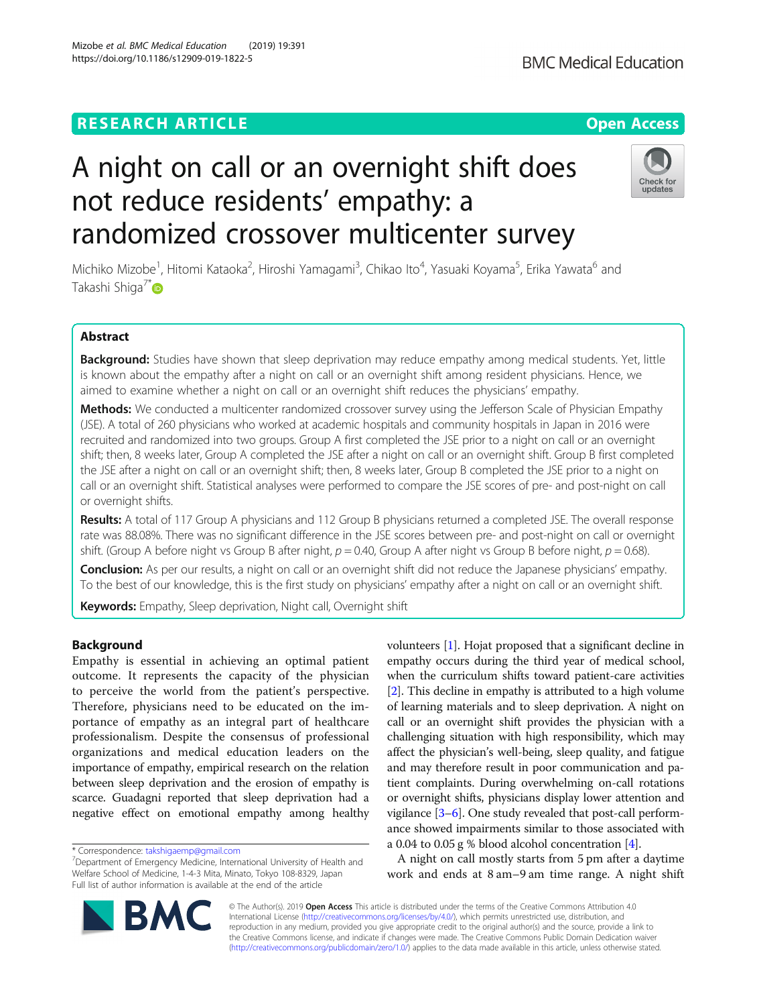# **RESEARCH ARTICLE Example 2014 12:30 The Contract of Contract ACCESS**

# A night on call or an overnight shift does not reduce residents' empathy: a randomized crossover multicenter survey

Michiko Mizobe<sup>1</sup>, Hitomi Kataoka<sup>2</sup>, Hiroshi Yamagami<sup>3</sup>, Chikao Ito<sup>4</sup>, Yasuaki Koyama<sup>5</sup>, Erika Yawata<sup>6</sup> and Takashi Shiga<sup>7\*</sup>

# Abstract

Background: Studies have shown that sleep deprivation may reduce empathy among medical students. Yet, little is known about the empathy after a night on call or an overnight shift among resident physicians. Hence, we aimed to examine whether a night on call or an overnight shift reduces the physicians' empathy.

Methods: We conducted a multicenter randomized crossover survey using the Jefferson Scale of Physician Empathy (JSE). A total of 260 physicians who worked at academic hospitals and community hospitals in Japan in 2016 were recruited and randomized into two groups. Group A first completed the JSE prior to a night on call or an overnight shift; then, 8 weeks later, Group A completed the JSE after a night on call or an overnight shift. Group B first completed the JSE after a night on call or an overnight shift; then, 8 weeks later, Group B completed the JSE prior to a night on call or an overnight shift. Statistical analyses were performed to compare the JSE scores of pre- and post-night on call or overnight shifts.

Results: A total of 117 Group A physicians and 112 Group B physicians returned a completed JSE. The overall response rate was 88.08%. There was no significant difference in the JSE scores between pre- and post-night on call or overnight shift. (Group A before night vs Group B after night,  $p = 0.40$ , Group A after night vs Group B before night,  $p = 0.68$ ).

**Conclusion:** As per our results, a night on call or an overnight shift did not reduce the Japanese physicians' empathy. To the best of our knowledge, this is the first study on physicians' empathy after a night on call or an overnight shift.

Keywords: Empathy, Sleep deprivation, Night call, Overnight shift

# Background

Empathy is essential in achieving an optimal patient outcome. It represents the capacity of the physician to perceive the world from the patient's perspective. Therefore, physicians need to be educated on the importance of empathy as an integral part of healthcare professionalism. Despite the consensus of professional organizations and medical education leaders on the importance of empathy, empirical research on the relation between sleep deprivation and the erosion of empathy is scarce. Guadagni reported that sleep deprivation had a negative effect on emotional empathy among healthy

© The Author(s). 2019 **Open Access** This article is distributed under the terms of the Creative Commons Attribution 4.0 International License [\(http://creativecommons.org/licenses/by/4.0/](http://creativecommons.org/licenses/by/4.0/)), which permits unrestricted use, distribution, and reproduction in any medium, provided you give appropriate credit to the original author(s) and the source, provide a link to the Creative Commons license, and indicate if changes were made. The Creative Commons Public Domain Dedication waiver [\(http://creativecommons.org/publicdomain/zero/1.0/](http://creativecommons.org/publicdomain/zero/1.0/)) applies to the data made available in this article, unless otherwise stated.

volunteers [\[1\]](#page-5-0). Hojat proposed that a significant decline in empathy occurs during the third year of medical school, when the curriculum shifts toward patient-care activities [[2\]](#page-5-0). This decline in empathy is attributed to a high volume of learning materials and to sleep deprivation. A night on call or an overnight shift provides the physician with a challenging situation with high responsibility, which may affect the physician's well-being, sleep quality, and fatigue and may therefore result in poor communication and patient complaints. During overwhelming on-call rotations or overnight shifts, physicians display lower attention and vigilance [\[3](#page-5-0)–[6\]](#page-5-0). One study revealed that post-call performance showed impairments similar to those associated with

a 0.04 to 0.05 g % blood alcohol concentration [[4\]](#page-5-0).

A night on call mostly starts from 5 pm after a daytime work and ends at 8 am–9 am time range. A night shift





undate

<sup>\*</sup> Correspondence: [takshigaemp@gmail.com](mailto:takshigaemp@gmail.com) <sup>7</sup>

 $7$ Department of Emergency Medicine, International University of Health and Welfare School of Medicine, 1-4-3 Mita, Minato, Tokyo 108-8329, Japan Full list of author information is available at the end of the article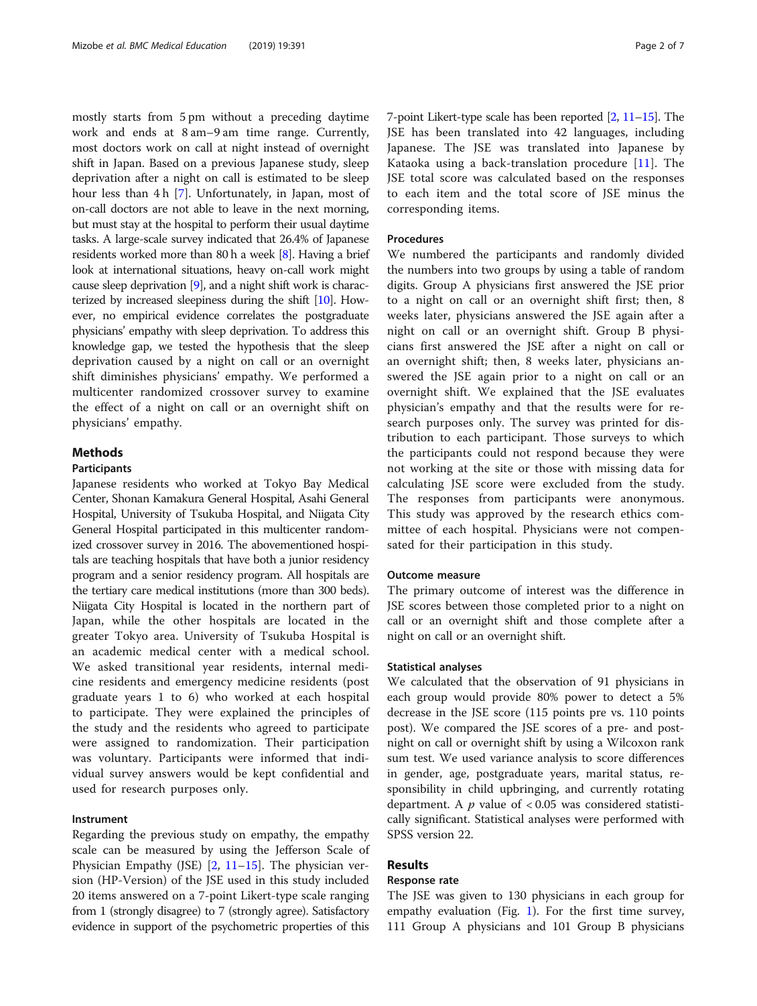mostly starts from 5 pm without a preceding daytime work and ends at 8 am–9 am time range. Currently, most doctors work on call at night instead of overnight shift in Japan. Based on a previous Japanese study, sleep deprivation after a night on call is estimated to be sleep hour less than 4 h [\[7](#page-5-0)]. Unfortunately, in Japan, most of on-call doctors are not able to leave in the next morning, but must stay at the hospital to perform their usual daytime tasks. A large-scale survey indicated that 26.4% of Japanese residents worked more than 80 h a week [\[8\]](#page-5-0). Having a brief look at international situations, heavy on-call work might cause sleep deprivation [\[9](#page-5-0)], and a night shift work is characterized by increased sleepiness during the shift [\[10](#page-5-0)]. However, no empirical evidence correlates the postgraduate physicians' empathy with sleep deprivation. To address this knowledge gap, we tested the hypothesis that the sleep deprivation caused by a night on call or an overnight shift diminishes physicians' empathy. We performed a multicenter randomized crossover survey to examine the effect of a night on call or an overnight shift on physicians' empathy.

# Methods

#### Participants

Japanese residents who worked at Tokyo Bay Medical Center, Shonan Kamakura General Hospital, Asahi General Hospital, University of Tsukuba Hospital, and Niigata City General Hospital participated in this multicenter randomized crossover survey in 2016. The abovementioned hospitals are teaching hospitals that have both a junior residency program and a senior residency program. All hospitals are the tertiary care medical institutions (more than 300 beds). Niigata City Hospital is located in the northern part of Japan, while the other hospitals are located in the greater Tokyo area. University of Tsukuba Hospital is an academic medical center with a medical school. We asked transitional year residents, internal medicine residents and emergency medicine residents (post graduate years 1 to 6) who worked at each hospital to participate. They were explained the principles of the study and the residents who agreed to participate were assigned to randomization. Their participation was voluntary. Participants were informed that individual survey answers would be kept confidential and used for research purposes only.

#### Instrument

Regarding the previous study on empathy, the empathy scale can be measured by using the Jefferson Scale of Physician Empathy (JSE) [\[2](#page-5-0), [11](#page-5-0)–[15\]](#page-6-0). The physician version (HP-Version) of the JSE used in this study included 20 items answered on a 7-point Likert-type scale ranging from 1 (strongly disagree) to 7 (strongly agree). Satisfactory evidence in support of the psychometric properties of this

7-point Likert-type scale has been reported [[2](#page-5-0), [11](#page-5-0)–[15\]](#page-6-0). The JSE has been translated into 42 languages, including Japanese. The JSE was translated into Japanese by Kataoka using a back-translation procedure [[11\]](#page-5-0). The JSE total score was calculated based on the responses to each item and the total score of JSE minus the corresponding items.

#### Procedures

We numbered the participants and randomly divided the numbers into two groups by using a table of random digits. Group A physicians first answered the JSE prior to a night on call or an overnight shift first; then, 8 weeks later, physicians answered the JSE again after a night on call or an overnight shift. Group B physicians first answered the JSE after a night on call or an overnight shift; then, 8 weeks later, physicians answered the JSE again prior to a night on call or an overnight shift. We explained that the JSE evaluates physician's empathy and that the results were for research purposes only. The survey was printed for distribution to each participant. Those surveys to which the participants could not respond because they were not working at the site or those with missing data for calculating JSE score were excluded from the study. The responses from participants were anonymous. This study was approved by the research ethics committee of each hospital. Physicians were not compensated for their participation in this study.

# Outcome measure

The primary outcome of interest was the difference in JSE scores between those completed prior to a night on call or an overnight shift and those complete after a night on call or an overnight shift.

#### Statistical analyses

We calculated that the observation of 91 physicians in each group would provide 80% power to detect a 5% decrease in the JSE score (115 points pre vs. 110 points post). We compared the JSE scores of a pre- and postnight on call or overnight shift by using a Wilcoxon rank sum test. We used variance analysis to score differences in gender, age, postgraduate years, marital status, responsibility in child upbringing, and currently rotating department. A  $p$  value of  $< 0.05$  was considered statistically significant. Statistical analyses were performed with SPSS version 22.

# Results

#### Response rate

The JSE was given to 130 physicians in each group for empathy evaluation (Fig. [1](#page-2-0)). For the first time survey, 111 Group A physicians and 101 Group B physicians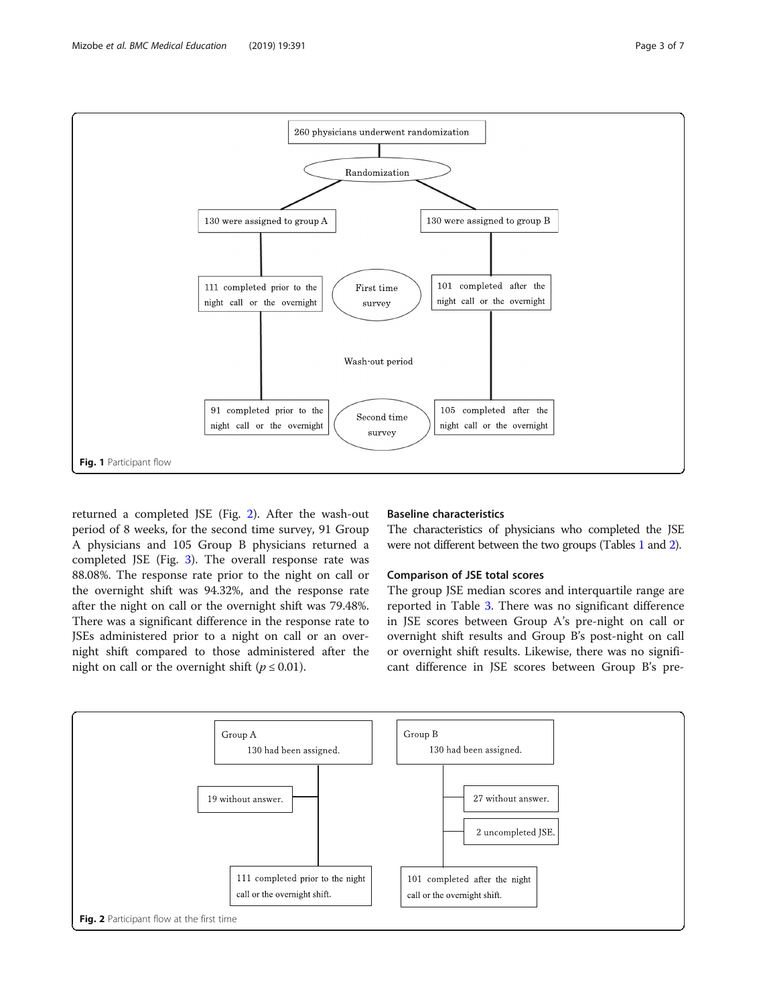returned a completed JSE (Fig. 2). After the wash-out period of 8 weeks, for the second time survey, 91 Group A physicians and 105 Group B physicians returned a completed JSE (Fig. [3](#page-3-0)). The overall response rate was 88.08%. The response rate prior to the night on call or the overnight shift was 94.32%, and the response rate after the night on call or the overnight shift was 79.48%. There was a significant difference in the response rate to JSEs administered prior to a night on call or an overnight shift compared to those administered after the night on call or the overnight shift ( $p \le 0.01$ ).

#### Baseline characteristics

The characteristics of physicians who completed the JSE were not different between the two groups (Tables [1](#page-3-0) and [2](#page-4-0)).

# Comparison of JSE total scores

The group JSE median scores and interquartile range are reported in Table [3](#page-4-0). There was no significant difference in JSE scores between Group A's pre-night on call or overnight shift results and Group B's post-night on call or overnight shift results. Likewise, there was no significant difference in JSE scores between Group B's pre-





<span id="page-2-0"></span>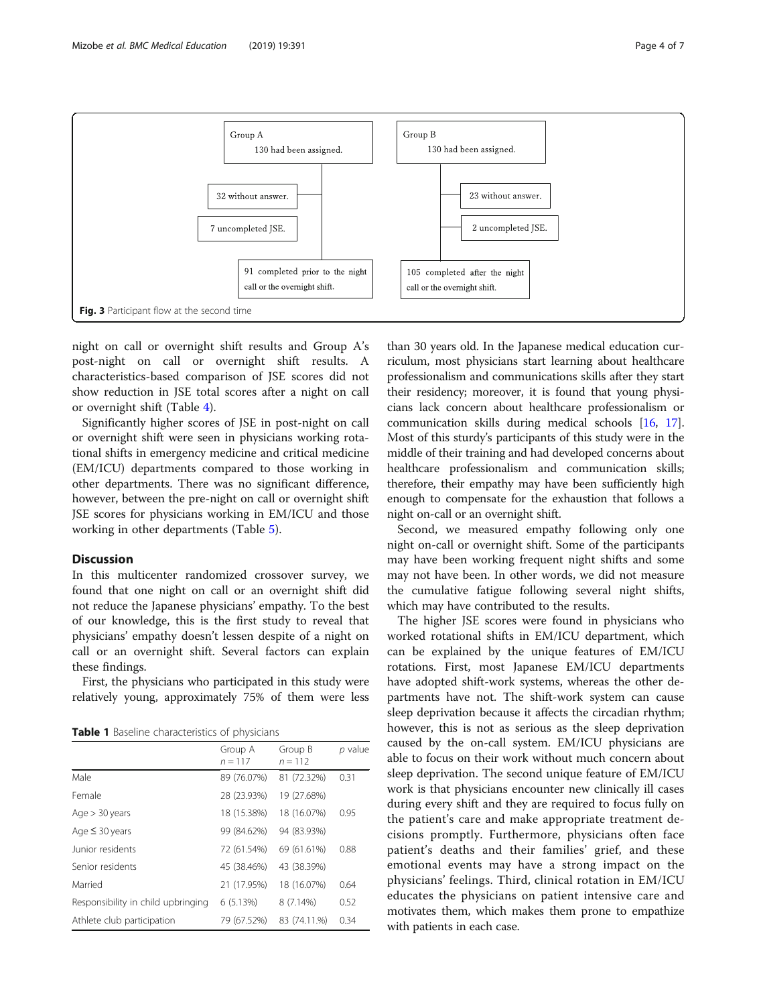<span id="page-3-0"></span>

night on call or overnight shift results and Group A's post-night on call or overnight shift results. A characteristics-based comparison of JSE scores did not show reduction in JSE total scores after a night on call or overnight shift (Table [4\)](#page-4-0).

Significantly higher scores of JSE in post-night on call or overnight shift were seen in physicians working rotational shifts in emergency medicine and critical medicine (EM/ICU) departments compared to those working in other departments. There was no significant difference, however, between the pre-night on call or overnight shift JSE scores for physicians working in EM/ICU and those working in other departments (Table [5](#page-5-0)).

#### **Discussion**

In this multicenter randomized crossover survey, we found that one night on call or an overnight shift did not reduce the Japanese physicians' empathy. To the best of our knowledge, this is the first study to reveal that physicians' empathy doesn't lessen despite of a night on call or an overnight shift. Several factors can explain these findings.

First, the physicians who participated in this study were relatively young, approximately 75% of them were less

Table 1 Baseline characteristics of physicians

|                                    | Group A<br>$n = 117$ | Group B<br>$n = 112$ | $p$ value |
|------------------------------------|----------------------|----------------------|-----------|
| Male                               | 89 (76.07%)          | 81 (72.32%)          | 0.31      |
| Female                             | 28 (23.93%)          | 19 (27.68%)          |           |
| Age > 30 years                     | 18 (15.38%)          | 18 (16.07%)          | 0.95      |
| Age $\leq$ 30 years                | 99 (84.62%)          | 94 (83.93%)          |           |
| Junior residents                   | 72 (61.54%)          | 69 (61.61%)          | 0.88      |
| Senior residents                   | 45 (38.46%)          | 43 (38.39%)          |           |
| Married                            | 21 (17.95%)          | 18 (16.07%)          | 0.64      |
| Responsibility in child upbringing | 6(5.13%)             | 8 (7.14%)            | 0.52      |
| Athlete club participation         | 79 (67.52%)          | 83 (74.11.%)         | 0.34      |

than 30 years old. In the Japanese medical education curriculum, most physicians start learning about healthcare professionalism and communications skills after they start their residency; moreover, it is found that young physicians lack concern about healthcare professionalism or communication skills during medical schools [\[16,](#page-6-0) [17](#page-6-0)]. Most of this sturdy's participants of this study were in the middle of their training and had developed concerns about healthcare professionalism and communication skills; therefore, their empathy may have been sufficiently high enough to compensate for the exhaustion that follows a night on-call or an overnight shift.

Second, we measured empathy following only one night on-call or overnight shift. Some of the participants may have been working frequent night shifts and some may not have been. In other words, we did not measure the cumulative fatigue following several night shifts, which may have contributed to the results.

The higher JSE scores were found in physicians who worked rotational shifts in EM/ICU department, which can be explained by the unique features of EM/ICU rotations. First, most Japanese EM/ICU departments have adopted shift-work systems, whereas the other departments have not. The shift-work system can cause sleep deprivation because it affects the circadian rhythm; however, this is not as serious as the sleep deprivation caused by the on-call system. EM/ICU physicians are able to focus on their work without much concern about sleep deprivation. The second unique feature of EM/ICU work is that physicians encounter new clinically ill cases during every shift and they are required to focus fully on the patient's care and make appropriate treatment decisions promptly. Furthermore, physicians often face patient's deaths and their families' grief, and these emotional events may have a strong impact on the physicians' feelings. Third, clinical rotation in EM/ICU educates the physicians on patient intensive care and motivates them, which makes them prone to empathize with patients in each case.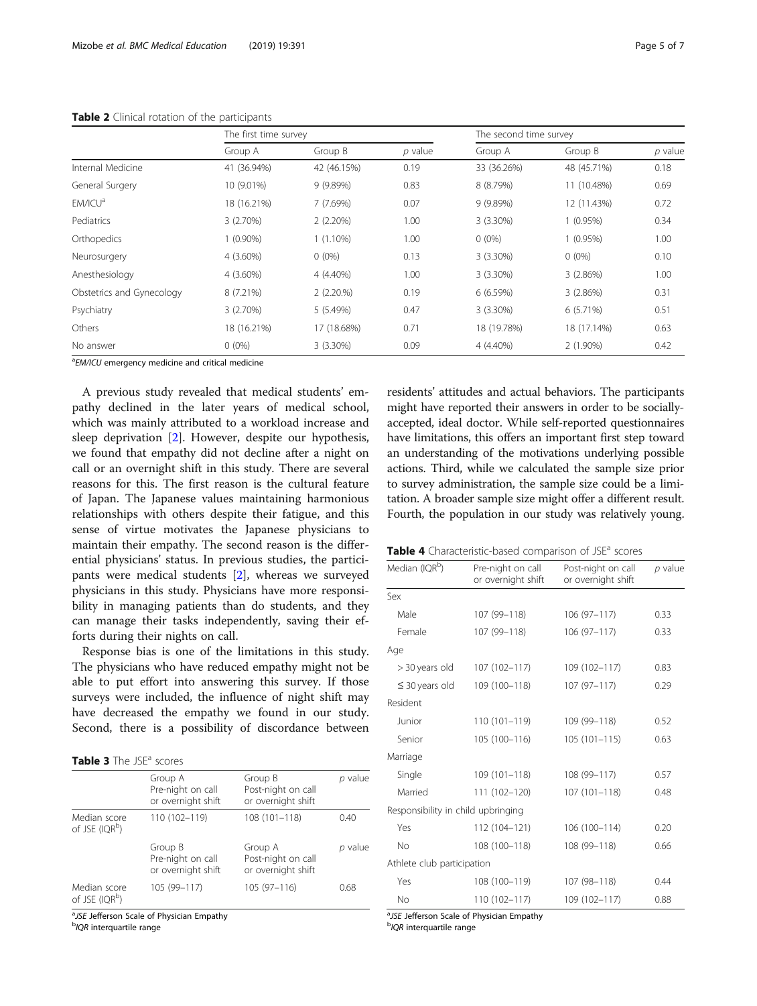|                           | The first time survey |             |           | The second time survey |             |           |
|---------------------------|-----------------------|-------------|-----------|------------------------|-------------|-----------|
|                           | Group A               | Group B     | $p$ value | Group A                | Group B     | $p$ value |
| Internal Medicine         | 41 (36.94%)           | 42 (46.15%) | 0.19      | 33 (36.26%)            | 48 (45.71%) | 0.18      |
| General Surgery           | 10 (9.01%)            | 9(9.89%)    | 0.83      | 8 (8.79%)              | 11 (10.48%) | 0.69      |
| EM/ICU <sup>a</sup>       | 18 (16.21%)           | 7(7.69%)    | 0.07      | 9 (9.89%)              | 12 (11.43%) | 0.72      |
| Pediatrics                | 3(2.70%)              | 2(2.20%)    | 1.00      | $3(3.30\%)$            | $1(0.95\%)$ | 0.34      |
| Orthopedics               | 1 (0.90%)             | $1(1.10\%)$ | 1.00      | $0(0\%)$               | 1 (0.95%)   | 1.00      |
| Neurosurgery              | 4 (3.60%)             | $0(0\%)$    | 0.13      | 3 (3.30%)              | $0(0\%)$    | 0.10      |
| Anesthesiology            | 4 (3.60%)             | 4 (4.40%)   | 1.00      | $3(3.30\%)$            | 3(2.86%)    | 1.00      |
| Obstetrics and Gynecology | 8 (7.21%)             | 2(2.20.%)   | 0.19      | 6(6.59%)               | 3(2.86%)    | 0.31      |
| Psychiatry                | 3(2.70%)              | 5(5.49%)    | 0.47      | $3(3.30\%)$            | 6 (5.71%)   | 0.51      |
| Others                    | 18 (16.21%)           | 17 (18.68%) | 0.71      | 18 (19.78%)            | 18 (17.14%) | 0.63      |
| No answer                 | $0(0\%)$              | $3(3.30\%)$ | 0.09      | 4 (4.40%)              | $2(1.90\%)$ | 0.42      |

<span id="page-4-0"></span>Table 2 Clinical rotation of the participants

<sup>a</sup>EM/ICU emergency medicine and critical medicine

A previous study revealed that medical students' empathy declined in the later years of medical school, which was mainly attributed to a workload increase and sleep deprivation [\[2](#page-5-0)]. However, despite our hypothesis, we found that empathy did not decline after a night on call or an overnight shift in this study. There are several reasons for this. The first reason is the cultural feature of Japan. The Japanese values maintaining harmonious relationships with others despite their fatigue, and this sense of virtue motivates the Japanese physicians to maintain their empathy. The second reason is the differential physicians' status. In previous studies, the participants were medical students [\[2](#page-5-0)], whereas we surveyed physicians in this study. Physicians have more responsibility in managing patients than do students, and they can manage their tasks independently, saving their efforts during their nights on call.

Response bias is one of the limitations in this study. The physicians who have reduced empathy might not be able to put effort into answering this survey. If those surveys were included, the influence of night shift may have decreased the empathy we found in our study. Second, there is a possibility of discordance between

|  | Table 3 The JSE <sup>a</sup> scores |  |  |  |  |
|--|-------------------------------------|--|--|--|--|
|--|-------------------------------------|--|--|--|--|

|                                            | Group A<br>Pre-night on call<br>or overnight shift | Group B<br>Post-night on call<br>or overnight shift | p value |
|--------------------------------------------|----------------------------------------------------|-----------------------------------------------------|---------|
| Median score<br>of JSE (IQR <sup>b</sup> ) | 110 (102-119)                                      | 108 (101-118)                                       | 0.40    |
|                                            | Group B<br>Pre-night on call<br>or overnight shift | Group A<br>Post-night on call<br>or overnight shift | p value |
| Median score<br>of JSE (IQR <sup>b</sup> ) | 105 (99-117)                                       | 105 (97-116)                                        | 0.68    |

<sup>a</sup>JSE Jefferson Scale of Physician Empathy<br><sup>b</sup>IOP interquartile range

<sup>b</sup>IQR interquartile range

residents' attitudes and actual behaviors. The participants might have reported their answers in order to be sociallyaccepted, ideal doctor. While self-reported questionnaires have limitations, this offers an important first step toward an understanding of the motivations underlying possible actions. Third, while we calculated the sample size prior to survey administration, the sample size could be a limitation. A broader sample size might offer a different result. Fourth, the population in our study was relatively young.

| Table 4 Characteristic-based comparison of JSE <sup>a</sup> scores |
|--------------------------------------------------------------------|
|--------------------------------------------------------------------|

| Median (IQR <sup>b</sup> )         | Pre-night on call<br>or overnight shift | Post-night on call<br>or overnight shift | p value |
|------------------------------------|-----------------------------------------|------------------------------------------|---------|
| Sex                                |                                         |                                          |         |
| Male                               | 107 (99-118)                            | $106(97 - 117)$                          | 0.33    |
| Female                             | 107 (99-118)                            | $106(97 - 117)$                          | 0.33    |
| Age                                |                                         |                                          |         |
| > 30 years old                     | 107 (102-117)                           | 109 (102-117)                            | 0.83    |
| $\leq$ 30 years old                | 109 (100-118)                           | 107 (97-117)                             | 0.29    |
| Resident                           |                                         |                                          |         |
| Junior                             | $110(101 - 119)$                        | 109 (99-118)                             | 0.52    |
| Senior                             | 105 (100-116)                           | $105(101 - 115)$                         | 0.63    |
| Marriage                           |                                         |                                          |         |
| Single                             | 109 (101-118)                           | 108 (99-117)                             | 0.57    |
| Married                            | 111 (102-120)                           | 107 (101-118)                            | 0.48    |
| Responsibility in child upbringing |                                         |                                          |         |
| Yes                                | 112 (104-121)                           | 106 (100-114)                            | 0.20    |
| No                                 | 108 (100-118)                           | 108 (99-118)                             | 0.66    |
| Athlete club participation         |                                         |                                          |         |
| Yes                                | 108 (100-119)                           | 107 (98-118)                             | 0.44    |
| No                                 | 110 (102-117)                           | 109 (102-117)                            | 0.88    |

<sup>a</sup> JSE Jefferson Scale of Physician Empathy

<sup>b</sup>IQR interquartile range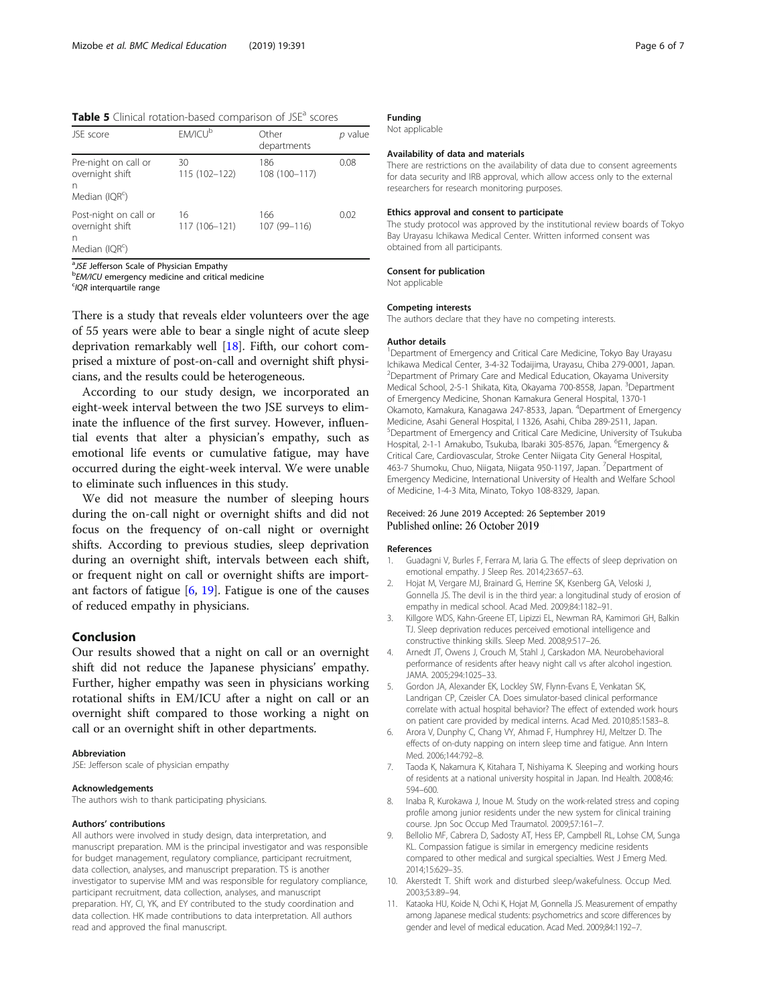<span id="page-5-0"></span>Table 5 Clinical rotation-based comparison of JSE<sup>a</sup> scores

| JSE score                                                                   | EM/ICU <sup>b</sup> | Other<br>departments | p value |
|-----------------------------------------------------------------------------|---------------------|----------------------|---------|
| Pre-night on call or<br>overnight shift<br>n<br>Median (IQR <sup>c</sup> )  | 30<br>115 (102-122) | 186<br>108 (100-117) | 0.08    |
| Post-night on call or<br>overnight shift<br>n<br>Median (IQR <sup>c</sup> ) | 16<br>117 (106-121) | 166<br>107 (99-116)  | 0.02    |

<sup>a</sup>JSE Jefferson Scale of Physician Empathy<br>**bEM/ICU omergency modicing and critical**  $b$ EM/ICU emergency medicine and critical medicine

 $COR$  interquartile range

There is a study that reveals elder volunteers over the age of 55 years were able to bear a single night of acute sleep deprivation remarkably well [[18\]](#page-6-0). Fifth, our cohort comprised a mixture of post-on-call and overnight shift physicians, and the results could be heterogeneous.

According to our study design, we incorporated an eight-week interval between the two JSE surveys to eliminate the influence of the first survey. However, influential events that alter a physician's empathy, such as emotional life events or cumulative fatigue, may have occurred during the eight-week interval. We were unable to eliminate such influences in this study.

We did not measure the number of sleeping hours during the on-call night or overnight shifts and did not focus on the frequency of on-call night or overnight shifts. According to previous studies, sleep deprivation during an overnight shift, intervals between each shift, or frequent night on call or overnight shifts are important factors of fatigue  $[6, 19]$  $[6, 19]$  $[6, 19]$ . Fatigue is one of the causes of reduced empathy in physicians.

### Conclusion

Our results showed that a night on call or an overnight shift did not reduce the Japanese physicians' empathy. Further, higher empathy was seen in physicians working rotational shifts in EM/ICU after a night on call or an overnight shift compared to those working a night on call or an overnight shift in other departments.

#### Abbreviation

JSE: Jefferson scale of physician empathy

#### Acknowledgements

The authors wish to thank participating physicians.

#### Authors' contributions

All authors were involved in study design, data interpretation, and manuscript preparation. MM is the principal investigator and was responsible for budget management, regulatory compliance, participant recruitment, data collection, analyses, and manuscript preparation. TS is another investigator to supervise MM and was responsible for regulatory compliance, participant recruitment, data collection, analyses, and manuscript preparation. HY, CI, YK, and EY contributed to the study coordination and data collection. HK made contributions to data interpretation. All authors read and approved the final manuscript.

# Funding

Not applicable

#### Availability of data and materials

There are restrictions on the availability of data due to consent agreements for data security and IRB approval, which allow access only to the external researchers for research monitoring purposes.

#### Ethics approval and consent to participate

The study protocol was approved by the institutional review boards of Tokyo Bay Urayasu Ichikawa Medical Center. Written informed consent was obtained from all participants.

#### Consent for publication

Not applicable

#### Competing interests

The authors declare that they have no competing interests.

#### Author details

<sup>1</sup>Department of Emergency and Critical Care Medicine, Tokyo Bay Urayasu Ichikawa Medical Center, 3-4-32 Todaijima, Urayasu, Chiba 279-0001, Japan. 2 Department of Primary Care and Medical Education, Okayama University Medical School, 2-5-1 Shikata, Kita, Okayama 700-8558, Japan. <sup>3</sup>Department of Emergency Medicine, Shonan Kamakura General Hospital, 1370-1 Okamoto, Kamakura, Kanagawa 247-8533, Japan. <sup>4</sup> Department of Emergency Medicine, Asahi General Hospital, I 1326, Asahi, Chiba 289-2511, Japan. 5 Department of Emergency and Critical Care Medicine, University of Tsukuba Hospital, 2-1-1 Amakubo, Tsukuba, Ibaraki 305-8576, Japan. <sup>6</sup>Emergency & Critical Care, Cardiovascular, Stroke Center Niigata City General Hospital, 463-7 Shumoku, Chuo, Niigata, Niigata 950-1197, Japan. <sup>7</sup>Department of Emergency Medicine, International University of Health and Welfare School of Medicine, 1-4-3 Mita, Minato, Tokyo 108-8329, Japan.

#### Received: 26 June 2019 Accepted: 26 September 2019 Published online: 26 October 2019

#### References

- 1. Guadagni V, Burles F, Ferrara M, Iaria G. The effects of sleep deprivation on emotional empathy. J Sleep Res. 2014;23:657–63.
- 2. Hojat M, Vergare MJ, Brainard G, Herrine SK, Ksenberg GA, Veloski J, Gonnella JS. The devil is in the third year: a longitudinal study of erosion of empathy in medical school. Acad Med. 2009;84:1182–91.
- 3. Killgore WDS, Kahn-Greene ET, Lipizzi EL, Newman RA, Kamimori GH, Balkin TJ. Sleep deprivation reduces perceived emotional intelligence and constructive thinking skills. Sleep Med. 2008;9:517–26.
- 4. Arnedt JT, Owens J, Crouch M, Stahl J, Carskadon MA. Neurobehavioral performance of residents after heavy night call vs after alcohol ingestion. JAMA. 2005;294:1025–33.
- 5. Gordon JA, Alexander EK, Lockley SW, Flynn-Evans E, Venkatan SK, Landrigan CP, Czeisler CA. Does simulator-based clinical performance correlate with actual hospital behavior? The effect of extended work hours on patient care provided by medical interns. Acad Med. 2010;85:1583–8.
- 6. Arora V, Dunphy C, Chang VY, Ahmad F, Humphrey HJ, Meltzer D. The effects of on-duty napping on intern sleep time and fatigue. Ann Intern Med. 2006;144:792–8.
- 7. Taoda K, Nakamura K, Kitahara T, Nishiyama K. Sleeping and working hours of residents at a national university hospital in Japan. Ind Health. 2008;46: 594–600.
- 8. Inaba R, Kurokawa J, Inoue M. Study on the work-related stress and coping profile among junior residents under the new system for clinical training course. Jpn Soc Occup Med Traumatol. 2009;57:161–7.
- 9. Bellolio MF, Cabrera D, Sadosty AT, Hess EP, Campbell RL, Lohse CM, Sunga KL. Compassion fatigue is similar in emergency medicine residents compared to other medical and surgical specialties. West J Emerg Med. 2014;15:629–35.
- 10. Akerstedt T. Shift work and disturbed sleep/wakefulness. Occup Med. 2003;53:89–94.
- 11. Kataoka HU, Koide N, Ochi K, Hojat M, Gonnella JS. Measurement of empathy among Japanese medical students: psychometrics and score differences by gender and level of medical education. Acad Med. 2009;84:1192–7.